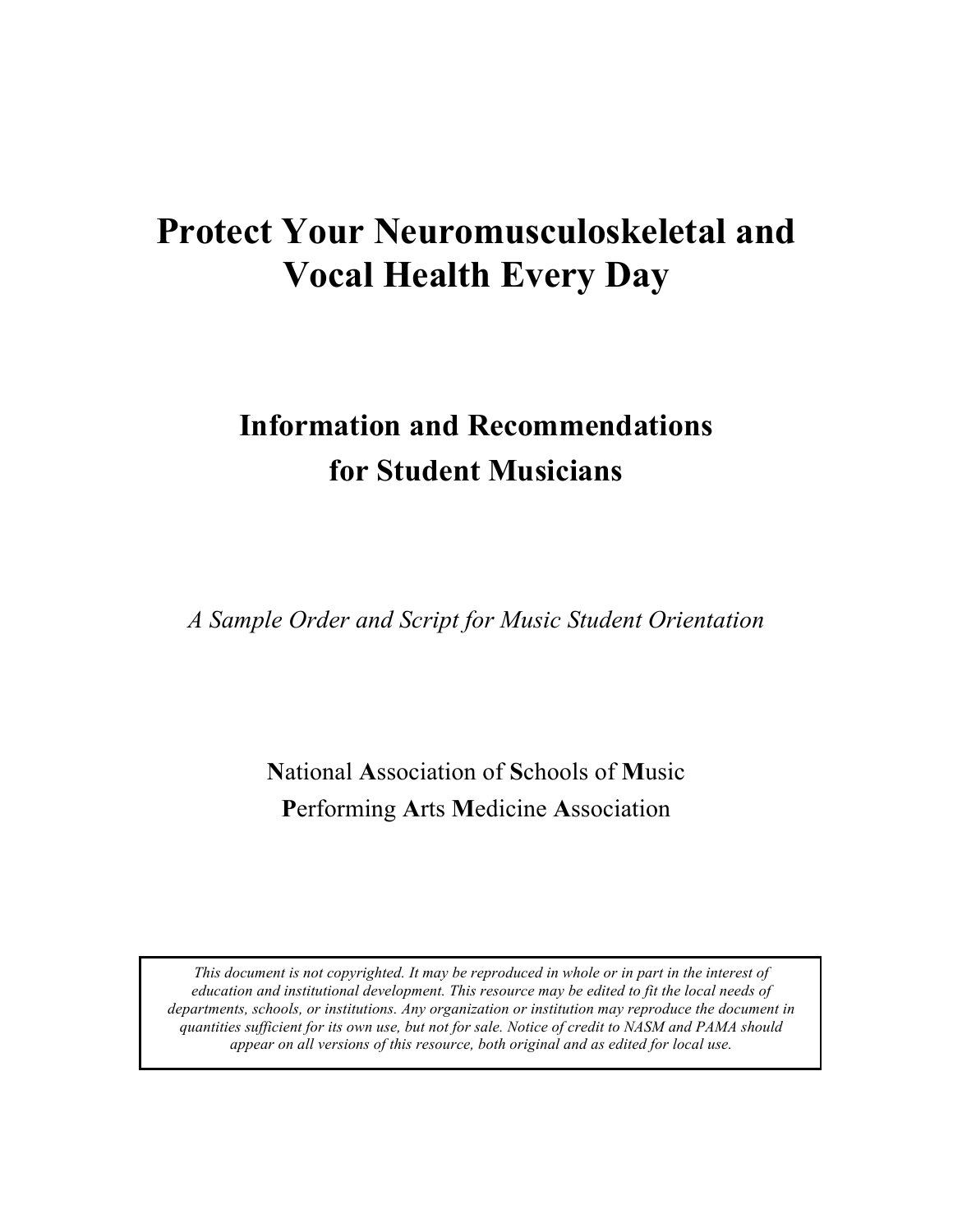# **Protect Your Neuromusculoskeletal and Vocal Health Every Day**

# **Information and Recommendations for Student Musicians**

*A Sample Order and Script for Music Student Orientation*

**N**ational **A**ssociation of **S**chools of **M**usic **P**erforming **A**rts **M**edicine **A**ssociation

*This document is not copyrighted. It may be reproduced in whole or in part in the interest of education and institutional development. This resource may be edited to fit the local needs of departments, schools, or institutions. Any organization or institution may reproduce the document in quantities sufficient for its own use, but not for sale. Notice of credit to NASM and PAMA should appear on all versions of this resource, both original and as edited for local use.*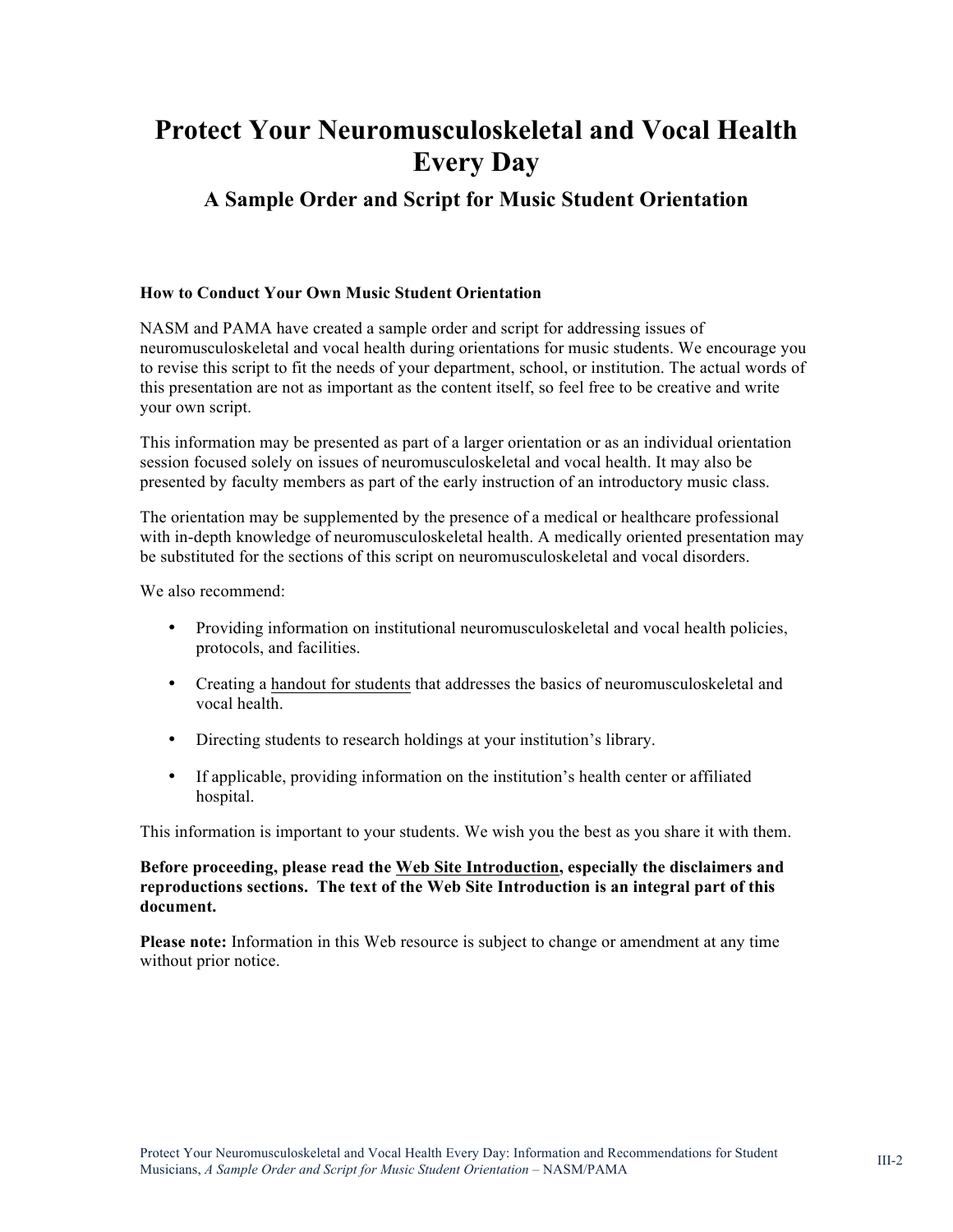# **Protect Your Neuromusculoskeletal and Vocal Health Every Day**

## **A Sample Order and Script for Music Student Orientation**

#### **How to Conduct Your Own Music Student Orientation**

NASM and PAMA have created a sample order and script for addressing issues of neuromusculoskeletal and vocal health during orientations for music students. We encourage you to revise this script to fit the needs of your department, school, or institution. The actual words of this presentation are not as important as the content itself, so feel free to be creative and write your own script.

This information may be presented as part of a larger orientation or as an individual orientation session focused solely on issues of neuromusculoskeletal and vocal health. It may also be presented by faculty members as part of the early instruction of an introductory music class.

The orientation may be supplemented by the presence of a medical or healthcare professional with in-depth knowledge of neuromusculoskeletal health. A medically oriented presentation may be substituted for the sections of this script on neuromusculoskeletal and vocal disorders.

We also recommend:

- Providing information on institutional neuromusculoskeletal and vocal health policies, protocols, and facilities.
- Creating a [handout for students](http://nasm.arts-accredit.org/site/docs/PAMA-NASM_Advisories/5b_NASM_PAMA_NMH-Student_Information_Sheet-Custom%20NMH_June%202014.pdf) that addresses the basics of neuromusculoskeletal and vocal health.
- Directing students to research holdings at your institution's library.
- If applicable, providing information on the institution's health center or affiliated hospital.

This information is important to your students. We wish you the best as you share it with them.

#### **Before proceeding, please read the [Web Site Introduction,](http://nasm.arts-accredit.org/index.jsp?page=NASM-PAMA: Neuromusculoskeletal and Vocal Health) especially the disclaimers and reproductions sections. The text of the Web Site Introduction is an integral part of this document.**

**Please note:** Information in this Web resource is subject to change or amendment at any time without prior notice.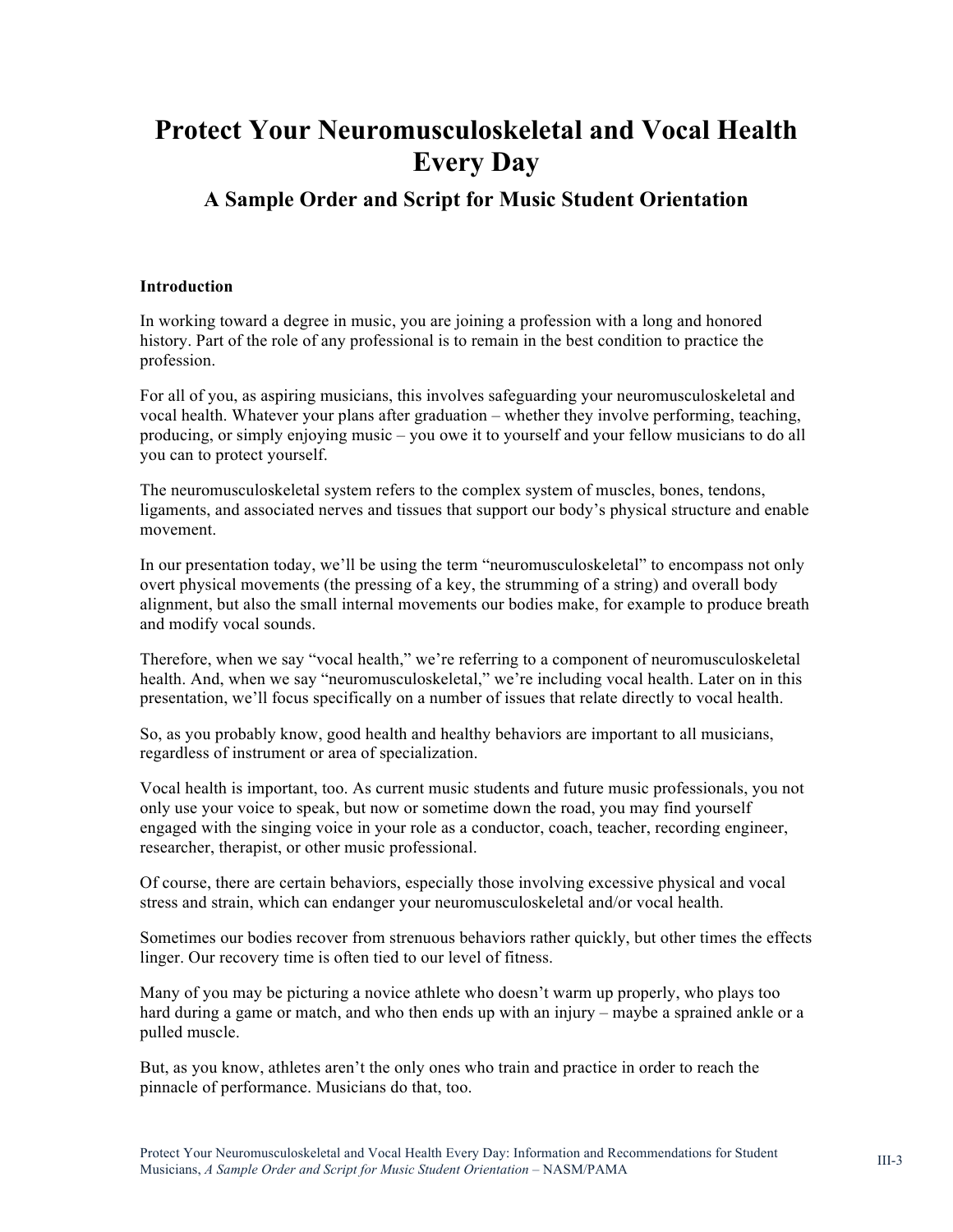# **Protect Your Neuromusculoskeletal and Vocal Health Every Day**

### **A Sample Order and Script for Music Student Orientation**

#### **Introduction**

In working toward a degree in music, you are joining a profession with a long and honored history. Part of the role of any professional is to remain in the best condition to practice the profession.

For all of you, as aspiring musicians, this involves safeguarding your neuromusculoskeletal and vocal health. Whatever your plans after graduation – whether they involve performing, teaching, producing, or simply enjoying music – you owe it to yourself and your fellow musicians to do all you can to protect yourself.

The neuromusculoskeletal system refers to the complex system of muscles, bones, tendons, ligaments, and associated nerves and tissues that support our body's physical structure and enable movement.

In our presentation today, we'll be using the term "neuromusculoskeletal" to encompass not only overt physical movements (the pressing of a key, the strumming of a string) and overall body alignment, but also the small internal movements our bodies make, for example to produce breath and modify vocal sounds.

Therefore, when we say "vocal health," we're referring to a component of neuromusculoskeletal health. And, when we say "neuromusculoskeletal," we're including vocal health. Later on in this presentation, we'll focus specifically on a number of issues that relate directly to vocal health.

So, as you probably know, good health and healthy behaviors are important to all musicians, regardless of instrument or area of specialization.

Vocal health is important, too. As current music students and future music professionals, you not only use your voice to speak, but now or sometime down the road, you may find yourself engaged with the singing voice in your role as a conductor, coach, teacher, recording engineer, researcher, therapist, or other music professional.

Of course, there are certain behaviors, especially those involving excessive physical and vocal stress and strain, which can endanger your neuromusculoskeletal and/or vocal health.

Sometimes our bodies recover from strenuous behaviors rather quickly, but other times the effects linger. Our recovery time is often tied to our level of fitness.

Many of you may be picturing a novice athlete who doesn't warm up properly, who plays too hard during a game or match, and who then ends up with an injury – maybe a sprained ankle or a pulled muscle.

But, as you know, athletes aren't the only ones who train and practice in order to reach the pinnacle of performance. Musicians do that, too.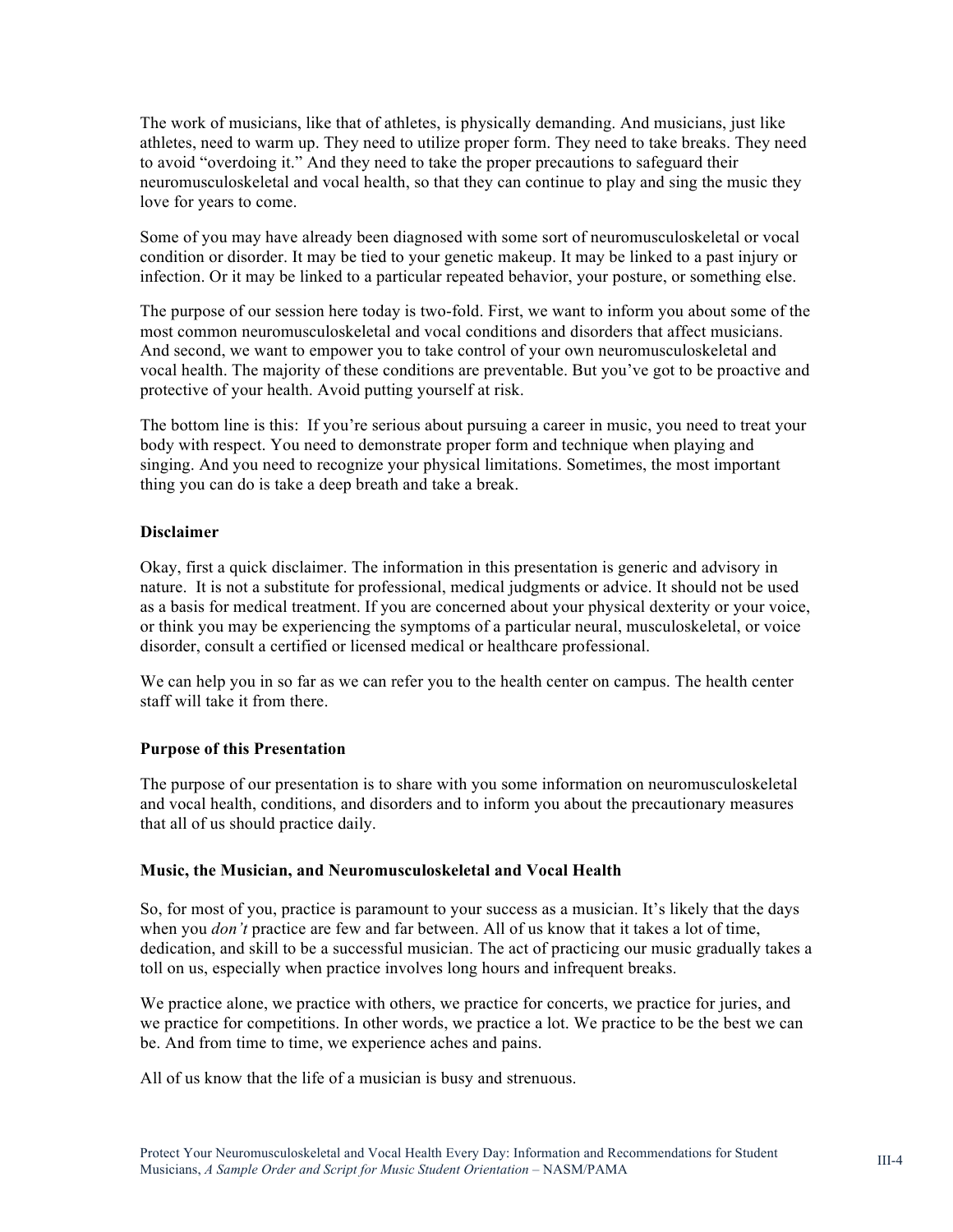The work of musicians, like that of athletes, is physically demanding. And musicians, just like athletes, need to warm up. They need to utilize proper form. They need to take breaks. They need to avoid "overdoing it." And they need to take the proper precautions to safeguard their neuromusculoskeletal and vocal health, so that they can continue to play and sing the music they love for years to come.

Some of you may have already been diagnosed with some sort of neuromusculoskeletal or vocal condition or disorder. It may be tied to your genetic makeup. It may be linked to a past injury or infection. Or it may be linked to a particular repeated behavior, your posture, or something else.

The purpose of our session here today is two-fold. First, we want to inform you about some of the most common neuromusculoskeletal and vocal conditions and disorders that affect musicians. And second, we want to empower you to take control of your own neuromusculoskeletal and vocal health. The majority of these conditions are preventable. But you've got to be proactive and protective of your health. Avoid putting yourself at risk.

The bottom line is this: If you're serious about pursuing a career in music, you need to treat your body with respect. You need to demonstrate proper form and technique when playing and singing. And you need to recognize your physical limitations. Sometimes, the most important thing you can do is take a deep breath and take a break.

#### **Disclaimer**

Okay, first a quick disclaimer. The information in this presentation is generic and advisory in nature. It is not a substitute for professional, medical judgments or advice. It should not be used as a basis for medical treatment. If you are concerned about your physical dexterity or your voice, or think you may be experiencing the symptoms of a particular neural, musculoskeletal, or voice disorder, consult a certified or licensed medical or healthcare professional.

We can help you in so far as we can refer you to the health center on campus. The health center staff will take it from there.

#### **Purpose of this Presentation**

The purpose of our presentation is to share with you some information on neuromusculoskeletal and vocal health, conditions, and disorders and to inform you about the precautionary measures that all of us should practice daily.

#### **Music, the Musician, and Neuromusculoskeletal and Vocal Health**

So, for most of you, practice is paramount to your success as a musician. It's likely that the days when you *don't* practice are few and far between. All of us know that it takes a lot of time, dedication, and skill to be a successful musician. The act of practicing our music gradually takes a toll on us, especially when practice involves long hours and infrequent breaks.

We practice alone, we practice with others, we practice for concerts, we practice for juries, and we practice for competitions. In other words, we practice a lot. We practice to be the best we can be. And from time to time, we experience aches and pains.

All of us know that the life of a musician is busy and strenuous.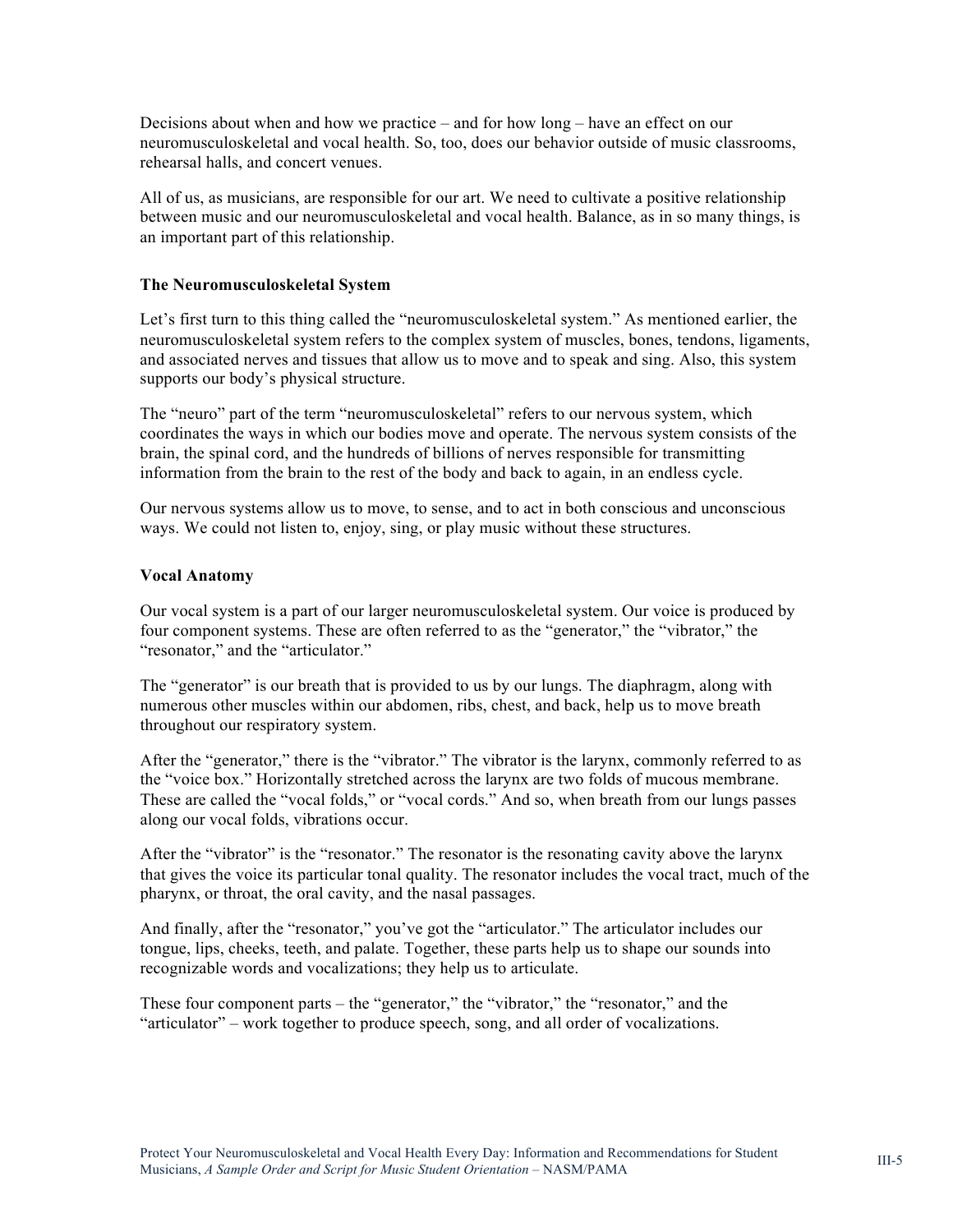Decisions about when and how we practice – and for how long – have an effect on our neuromusculoskeletal and vocal health. So, too, does our behavior outside of music classrooms, rehearsal halls, and concert venues.

All of us, as musicians, are responsible for our art. We need to cultivate a positive relationship between music and our neuromusculoskeletal and vocal health. Balance, as in so many things, is an important part of this relationship.

#### **The Neuromusculoskeletal System**

Let's first turn to this thing called the "neuromusculoskeletal system." As mentioned earlier, the neuromusculoskeletal system refers to the complex system of muscles, bones, tendons, ligaments, and associated nerves and tissues that allow us to move and to speak and sing. Also, this system supports our body's physical structure.

The "neuro" part of the term "neuromusculoskeletal" refers to our nervous system, which coordinates the ways in which our bodies move and operate. The nervous system consists of the brain, the spinal cord, and the hundreds of billions of nerves responsible for transmitting information from the brain to the rest of the body and back to again, in an endless cycle.

Our nervous systems allow us to move, to sense, and to act in both conscious and unconscious ways. We could not listen to, enjoy, sing, or play music without these structures.

#### **Vocal Anatomy**

Our vocal system is a part of our larger neuromusculoskeletal system. Our voice is produced by four component systems. These are often referred to as the "generator," the "vibrator," the "resonator," and the "articulator."

The "generator" is our breath that is provided to us by our lungs. The diaphragm, along with numerous other muscles within our abdomen, ribs, chest, and back, help us to move breath throughout our respiratory system.

After the "generator," there is the "vibrator." The vibrator is the larynx, commonly referred to as the "voice box." Horizontally stretched across the larynx are two folds of mucous membrane. These are called the "vocal folds," or "vocal cords." And so, when breath from our lungs passes along our vocal folds, vibrations occur.

After the "vibrator" is the "resonator." The resonator is the resonating cavity above the larynx that gives the voice its particular tonal quality. The resonator includes the vocal tract, much of the pharynx, or throat, the oral cavity, and the nasal passages.

And finally, after the "resonator," you've got the "articulator." The articulator includes our tongue, lips, cheeks, teeth, and palate. Together, these parts help us to shape our sounds into recognizable words and vocalizations; they help us to articulate.

These four component parts – the "generator," the "vibrator," the "resonator," and the "articulator" – work together to produce speech, song, and all order of vocalizations.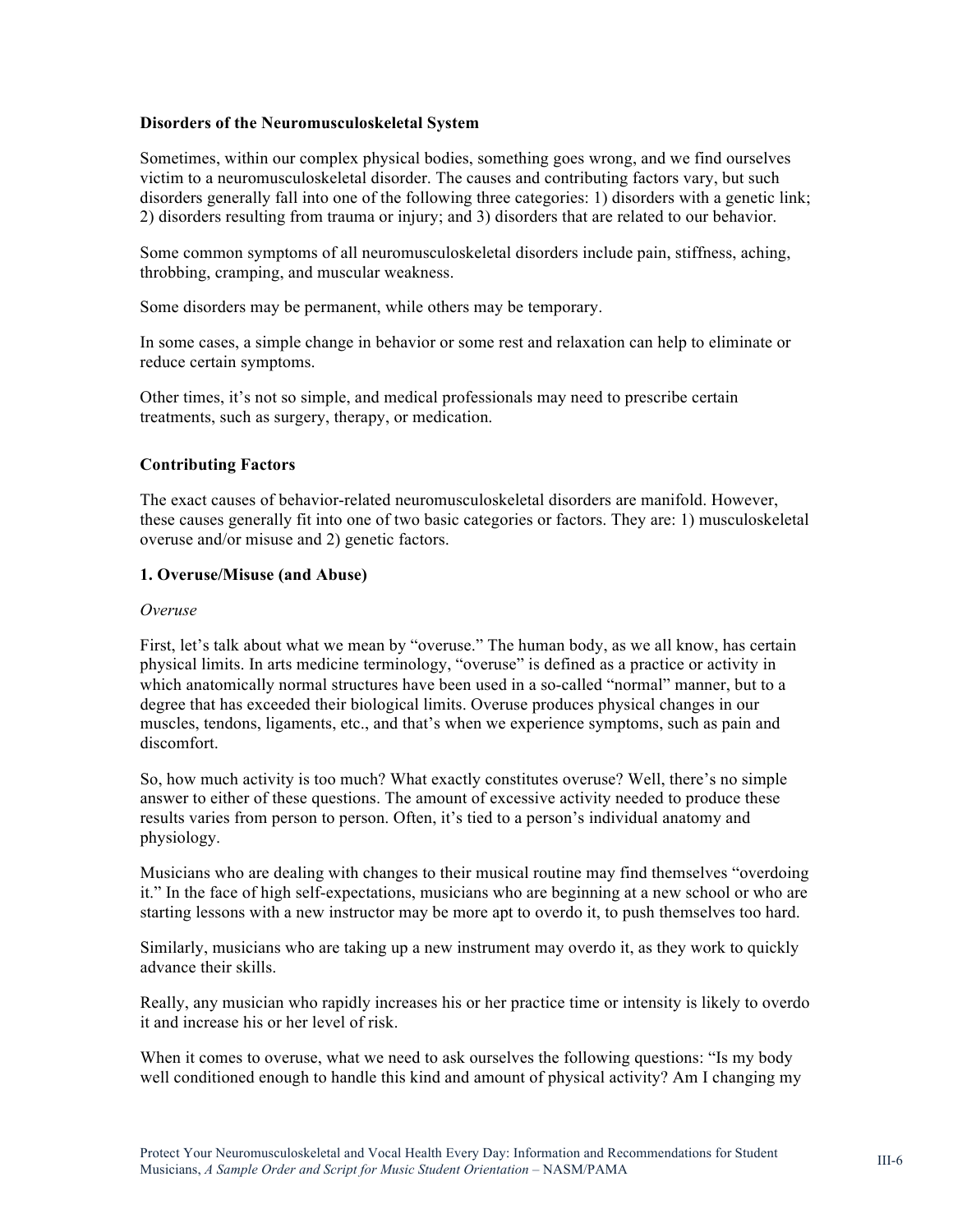#### **Disorders of the Neuromusculoskeletal System**

Sometimes, within our complex physical bodies, something goes wrong, and we find ourselves victim to a neuromusculoskeletal disorder. The causes and contributing factors vary, but such disorders generally fall into one of the following three categories: 1) disorders with a genetic link; 2) disorders resulting from trauma or injury; and 3) disorders that are related to our behavior.

Some common symptoms of all neuromusculoskeletal disorders include pain, stiffness, aching, throbbing, cramping, and muscular weakness.

Some disorders may be permanent, while others may be temporary.

In some cases, a simple change in behavior or some rest and relaxation can help to eliminate or reduce certain symptoms.

Other times, it's not so simple, and medical professionals may need to prescribe certain treatments, such as surgery, therapy, or medication.

#### **Contributing Factors**

The exact causes of behavior-related neuromusculoskeletal disorders are manifold. However, these causes generally fit into one of two basic categories or factors. They are: 1) musculoskeletal overuse and/or misuse and 2) genetic factors.

#### **1. Overuse/Misuse (and Abuse)**

#### *Overuse*

First, let's talk about what we mean by "overuse." The human body, as we all know, has certain physical limits. In arts medicine terminology, "overuse" is defined as a practice or activity in which anatomically normal structures have been used in a so-called "normal" manner, but to a degree that has exceeded their biological limits. Overuse produces physical changes in our muscles, tendons, ligaments, etc., and that's when we experience symptoms, such as pain and discomfort.

So, how much activity is too much? What exactly constitutes overuse? Well, there's no simple answer to either of these questions. The amount of excessive activity needed to produce these results varies from person to person. Often, it's tied to a person's individual anatomy and physiology.

Musicians who are dealing with changes to their musical routine may find themselves "overdoing it." In the face of high self-expectations, musicians who are beginning at a new school or who are starting lessons with a new instructor may be more apt to overdo it, to push themselves too hard.

Similarly, musicians who are taking up a new instrument may overdo it, as they work to quickly advance their skills.

Really, any musician who rapidly increases his or her practice time or intensity is likely to overdo it and increase his or her level of risk.

When it comes to overuse, what we need to ask ourselves the following questions: "Is my body well conditioned enough to handle this kind and amount of physical activity? Am I changing my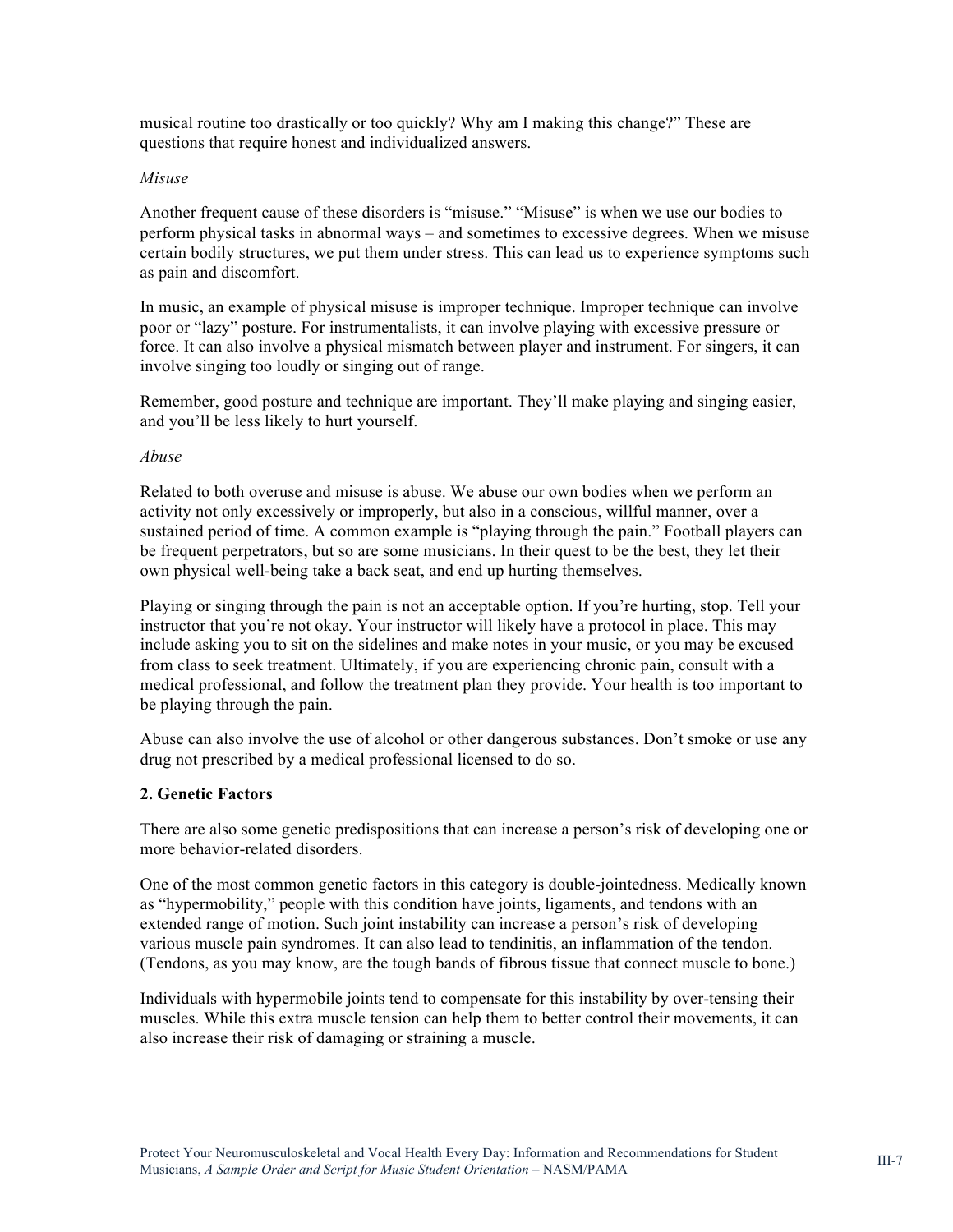musical routine too drastically or too quickly? Why am I making this change?" These are questions that require honest and individualized answers.

#### *Misuse*

Another frequent cause of these disorders is "misuse." "Misuse" is when we use our bodies to perform physical tasks in abnormal ways – and sometimes to excessive degrees. When we misuse certain bodily structures, we put them under stress. This can lead us to experience symptoms such as pain and discomfort.

In music, an example of physical misuse is improper technique. Improper technique can involve poor or "lazy" posture. For instrumentalists, it can involve playing with excessive pressure or force. It can also involve a physical mismatch between player and instrument. For singers, it can involve singing too loudly or singing out of range.

Remember, good posture and technique are important. They'll make playing and singing easier, and you'll be less likely to hurt yourself.

#### *Abuse*

Related to both overuse and misuse is abuse. We abuse our own bodies when we perform an activity not only excessively or improperly, but also in a conscious, willful manner, over a sustained period of time. A common example is "playing through the pain." Football players can be frequent perpetrators, but so are some musicians. In their quest to be the best, they let their own physical well-being take a back seat, and end up hurting themselves.

Playing or singing through the pain is not an acceptable option. If you're hurting, stop. Tell your instructor that you're not okay. Your instructor will likely have a protocol in place. This may include asking you to sit on the sidelines and make notes in your music, or you may be excused from class to seek treatment. Ultimately, if you are experiencing chronic pain, consult with a medical professional, and follow the treatment plan they provide. Your health is too important to be playing through the pain.

Abuse can also involve the use of alcohol or other dangerous substances. Don't smoke or use any drug not prescribed by a medical professional licensed to do so.

#### **2. Genetic Factors**

There are also some genetic predispositions that can increase a person's risk of developing one or more behavior-related disorders.

One of the most common genetic factors in this category is double-jointedness. Medically known as "hypermobility," people with this condition have joints, ligaments, and tendons with an extended range of motion. Such joint instability can increase a person's risk of developing various muscle pain syndromes. It can also lead to tendinitis, an inflammation of the tendon. (Tendons, as you may know, are the tough bands of fibrous tissue that connect muscle to bone.)

Individuals with hypermobile joints tend to compensate for this instability by over-tensing their muscles. While this extra muscle tension can help them to better control their movements, it can also increase their risk of damaging or straining a muscle.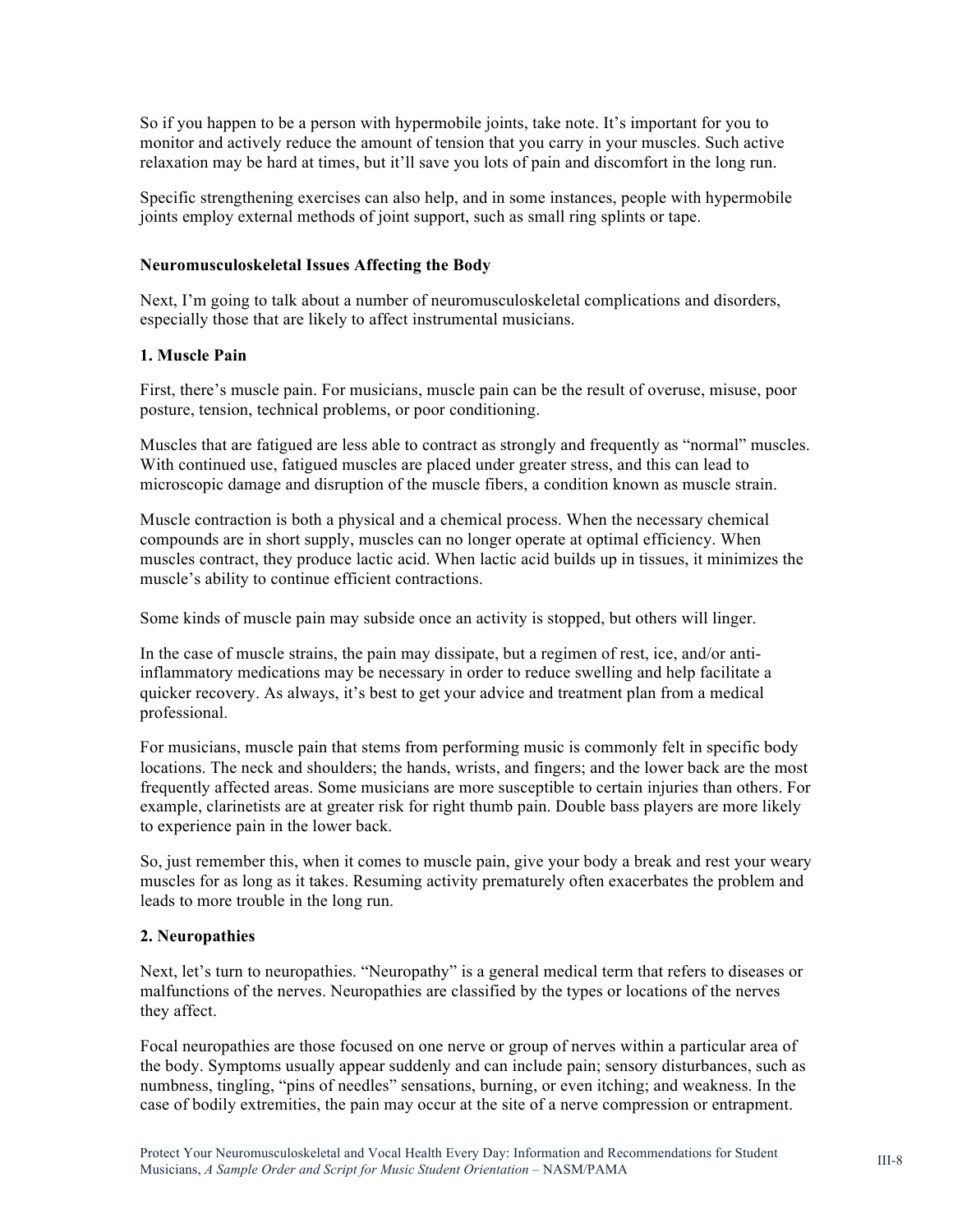So if you happen to be a person with hypermobile joints, take note. It's important for you to monitor and actively reduce the amount of tension that you carry in your muscles. Such active relaxation may be hard at times, but it'll save you lots of pain and discomfort in the long run.

Specific strengthening exercises can also help, and in some instances, people with hypermobile joints employ external methods of joint support, such as small ring splints or tape.

#### **Neuromusculoskeletal Issues Affecting the Body**

Next, I'm going to talk about a number of neuromusculoskeletal complications and disorders, especially those that are likely to affect instrumental musicians.

#### **1. Muscle Pain**

First, there's muscle pain. For musicians, muscle pain can be the result of overuse, misuse, poor posture, tension, technical problems, or poor conditioning.

Muscles that are fatigued are less able to contract as strongly and frequently as "normal" muscles. With continued use, fatigued muscles are placed under greater stress, and this can lead to microscopic damage and disruption of the muscle fibers, a condition known as muscle strain.

Muscle contraction is both a physical and a chemical process. When the necessary chemical compounds are in short supply, muscles can no longer operate at optimal efficiency. When muscles contract, they produce lactic acid. When lactic acid builds up in tissues, it minimizes the muscle's ability to continue efficient contractions.

Some kinds of muscle pain may subside once an activity is stopped, but others will linger.

In the case of muscle strains, the pain may dissipate, but a regimen of rest, ice, and/or antiinflammatory medications may be necessary in order to reduce swelling and help facilitate a quicker recovery. As always, it's best to get your advice and treatment plan from a medical professional.

For musicians, muscle pain that stems from performing music is commonly felt in specific body locations. The neck and shoulders; the hands, wrists, and fingers; and the lower back are the most frequently affected areas. Some musicians are more susceptible to certain injuries than others. For example, clarinetists are at greater risk for right thumb pain. Double bass players are more likely to experience pain in the lower back.

So, just remember this, when it comes to muscle pain, give your body a break and rest your weary muscles for as long as it takes. Resuming activity prematurely often exacerbates the problem and leads to more trouble in the long run.

#### **2. Neuropathies**

Next, let's turn to neuropathies. "Neuropathy" is a general medical term that refers to diseases or malfunctions of the nerves. Neuropathies are classified by the types or locations of the nerves they affect.

Focal neuropathies are those focused on one nerve or group of nerves within a particular area of the body. Symptoms usually appear suddenly and can include pain; sensory disturbances, such as numbness, tingling, "pins of needles" sensations, burning, or even itching; and weakness. In the case of bodily extremities, the pain may occur at the site of a nerve compression or entrapment.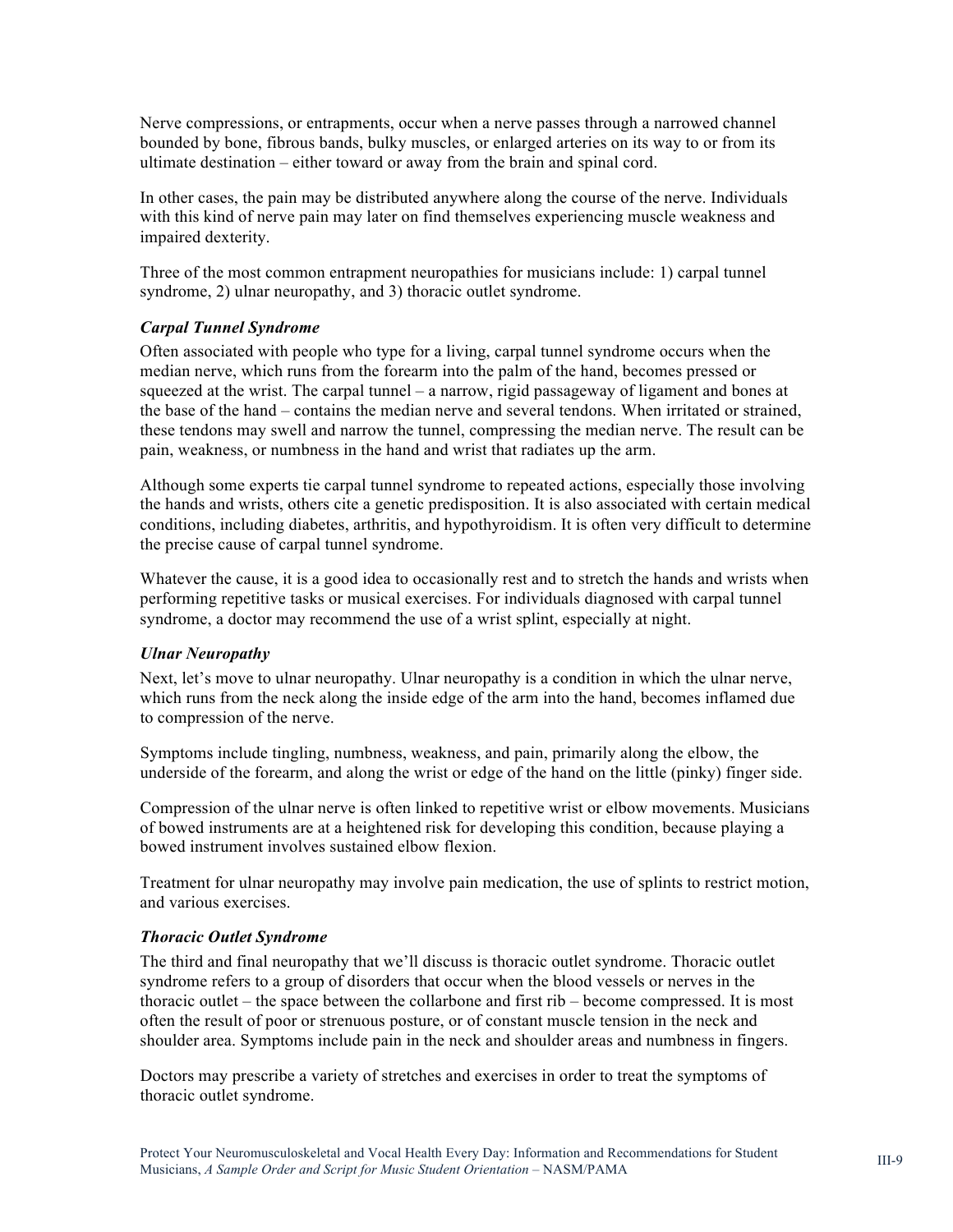Nerve compressions, or entrapments, occur when a nerve passes through a narrowed channel bounded by bone, fibrous bands, bulky muscles, or enlarged arteries on its way to or from its ultimate destination – either toward or away from the brain and spinal cord.

In other cases, the pain may be distributed anywhere along the course of the nerve. Individuals with this kind of nerve pain may later on find themselves experiencing muscle weakness and impaired dexterity.

Three of the most common entrapment neuropathies for musicians include: 1) carpal tunnel syndrome, 2) ulnar neuropathy, and 3) thoracic outlet syndrome.

#### *Carpal Tunnel Syndrome*

Often associated with people who type for a living, carpal tunnel syndrome occurs when the median nerve, which runs from the forearm into the palm of the hand, becomes pressed or squeezed at the wrist. The carpal tunnel – a narrow, rigid passageway of ligament and bones at the base of the hand – contains the median nerve and several tendons. When irritated or strained, these tendons may swell and narrow the tunnel, compressing the median nerve. The result can be pain, weakness, or numbness in the hand and wrist that radiates up the arm.

Although some experts tie carpal tunnel syndrome to repeated actions, especially those involving the hands and wrists, others cite a genetic predisposition. It is also associated with certain medical conditions, including diabetes, arthritis, and hypothyroidism. It is often very difficult to determine the precise cause of carpal tunnel syndrome.

Whatever the cause, it is a good idea to occasionally rest and to stretch the hands and wrists when performing repetitive tasks or musical exercises. For individuals diagnosed with carpal tunnel syndrome, a doctor may recommend the use of a wrist splint, especially at night.

#### *Ulnar Neuropathy*

Next, let's move to ulnar neuropathy. Ulnar neuropathy is a condition in which the ulnar nerve, which runs from the neck along the inside edge of the arm into the hand, becomes inflamed due to compression of the nerve.

Symptoms include tingling, numbness, weakness, and pain, primarily along the elbow, the underside of the forearm, and along the wrist or edge of the hand on the little (pinky) finger side.

Compression of the ulnar nerve is often linked to repetitive wrist or elbow movements. Musicians of bowed instruments are at a heightened risk for developing this condition, because playing a bowed instrument involves sustained elbow flexion.

Treatment for ulnar neuropathy may involve pain medication, the use of splints to restrict motion, and various exercises.

#### *Thoracic Outlet Syndrome*

The third and final neuropathy that we'll discuss is thoracic outlet syndrome. Thoracic outlet syndrome refers to a group of disorders that occur when the blood vessels or nerves in the thoracic outlet – the space between the collarbone and first rib – become compressed. It is most often the result of poor or strenuous posture, or of constant muscle tension in the neck and shoulder area. Symptoms include pain in the neck and shoulder areas and numbness in fingers.

Doctors may prescribe a variety of stretches and exercises in order to treat the symptoms of thoracic outlet syndrome.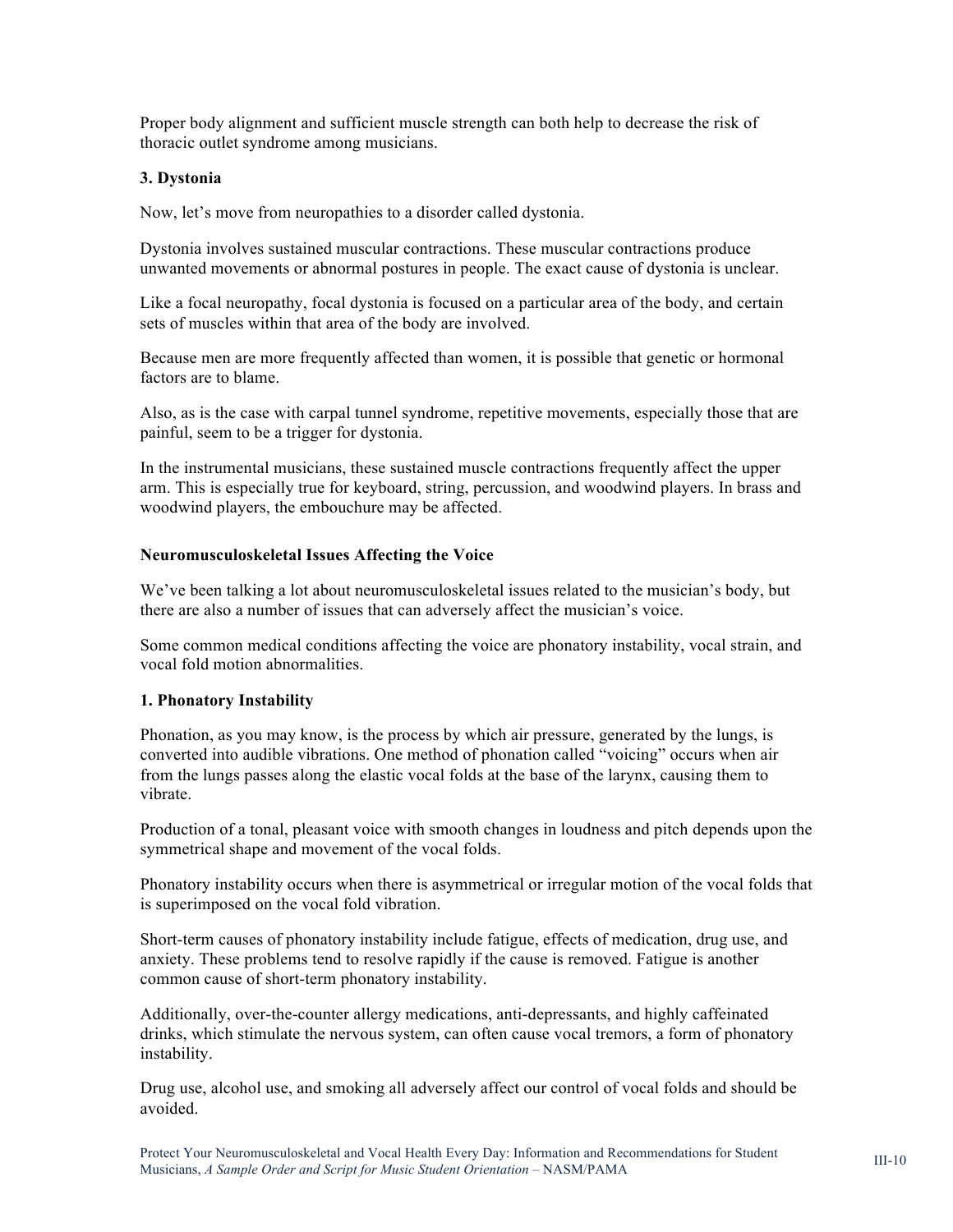Proper body alignment and sufficient muscle strength can both help to decrease the risk of thoracic outlet syndrome among musicians.

#### **3. Dystonia**

Now, let's move from neuropathies to a disorder called dystonia.

Dystonia involves sustained muscular contractions. These muscular contractions produce unwanted movements or abnormal postures in people. The exact cause of dystonia is unclear.

Like a focal neuropathy, focal dystonia is focused on a particular area of the body, and certain sets of muscles within that area of the body are involved.

Because men are more frequently affected than women, it is possible that genetic or hormonal factors are to blame.

Also, as is the case with carpal tunnel syndrome, repetitive movements, especially those that are painful, seem to be a trigger for dystonia.

In the instrumental musicians, these sustained muscle contractions frequently affect the upper arm. This is especially true for keyboard, string, percussion, and woodwind players. In brass and woodwind players, the embouchure may be affected.

#### **Neuromusculoskeletal Issues Affecting the Voice**

We've been talking a lot about neuromusculoskeletal issues related to the musician's body, but there are also a number of issues that can adversely affect the musician's voice.

Some common medical conditions affecting the voice are phonatory instability, vocal strain, and vocal fold motion abnormalities.

#### **1. Phonatory Instability**

Phonation, as you may know, is the process by which air pressure, generated by the lungs, is converted into audible vibrations. One method of phonation called "voicing" occurs when air from the lungs passes along the elastic vocal folds at the base of the larynx, causing them to vibrate.

Production of a tonal, pleasant voice with smooth changes in loudness and pitch depends upon the symmetrical shape and movement of the vocal folds.

Phonatory instability occurs when there is asymmetrical or irregular motion of the vocal folds that is superimposed on the vocal fold vibration.

Short-term causes of phonatory instability include fatigue, effects of medication, drug use, and anxiety. These problems tend to resolve rapidly if the cause is removed. Fatigue is another common cause of short-term phonatory instability.

Additionally, over-the-counter allergy medications, anti-depressants, and highly caffeinated drinks, which stimulate the nervous system, can often cause vocal tremors, a form of phonatory instability.

Drug use, alcohol use, and smoking all adversely affect our control of vocal folds and should be avoided.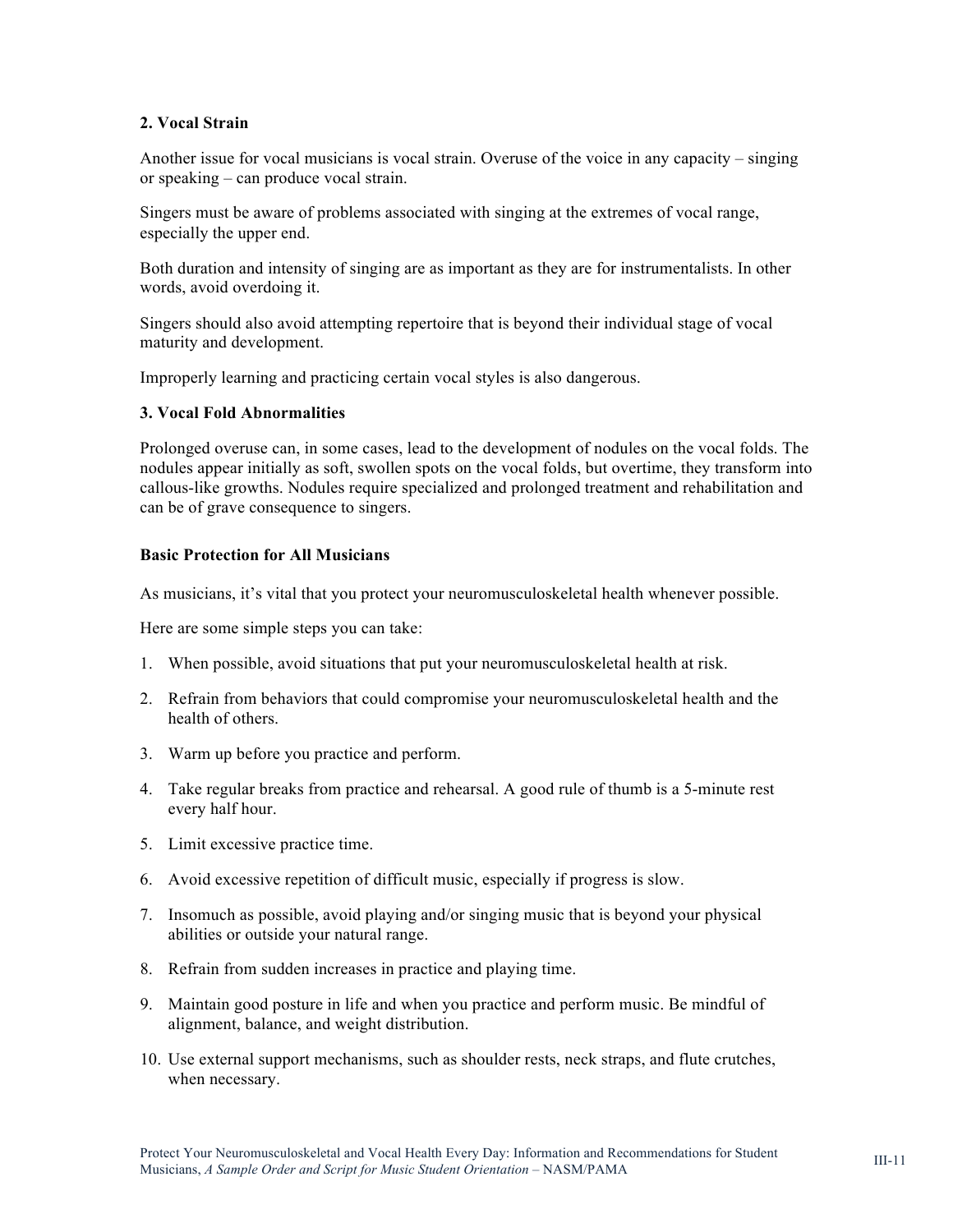#### **2. Vocal Strain**

Another issue for vocal musicians is vocal strain. Overuse of the voice in any capacity – singing or speaking – can produce vocal strain.

Singers must be aware of problems associated with singing at the extremes of vocal range, especially the upper end.

Both duration and intensity of singing are as important as they are for instrumentalists. In other words, avoid overdoing it.

Singers should also avoid attempting repertoire that is beyond their individual stage of vocal maturity and development.

Improperly learning and practicing certain vocal styles is also dangerous.

#### **3. Vocal Fold Abnormalities**

Prolonged overuse can, in some cases, lead to the development of nodules on the vocal folds. The nodules appear initially as soft, swollen spots on the vocal folds, but overtime, they transform into callous-like growths. Nodules require specialized and prolonged treatment and rehabilitation and can be of grave consequence to singers.

#### **Basic Protection for All Musicians**

As musicians, it's vital that you protect your neuromusculoskeletal health whenever possible.

Here are some simple steps you can take:

- 1. When possible, avoid situations that put your neuromusculoskeletal health at risk.
- 2. Refrain from behaviors that could compromise your neuromusculoskeletal health and the health of others.
- 3. Warm up before you practice and perform.
- 4. Take regular breaks from practice and rehearsal. A good rule of thumb is a 5-minute rest every half hour.
- 5. Limit excessive practice time.
- 6. Avoid excessive repetition of difficult music, especially if progress is slow.
- 7. Insomuch as possible, avoid playing and/or singing music that is beyond your physical abilities or outside your natural range.
- 8. Refrain from sudden increases in practice and playing time.
- 9. Maintain good posture in life and when you practice and perform music. Be mindful of alignment, balance, and weight distribution.
- 10. Use external support mechanisms, such as shoulder rests, neck straps, and flute crutches, when necessary.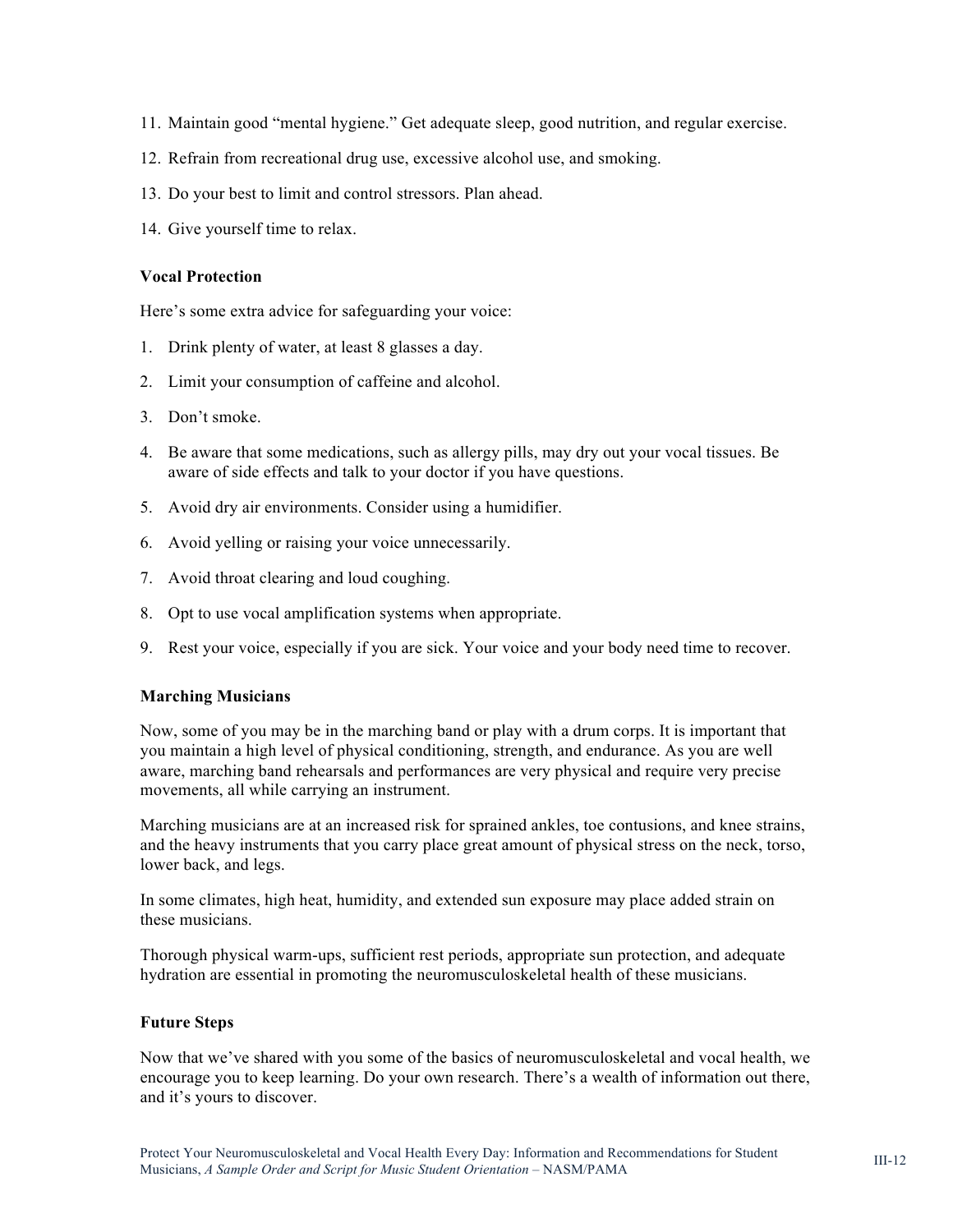- 11. Maintain good "mental hygiene." Get adequate sleep, good nutrition, and regular exercise.
- 12. Refrain from recreational drug use, excessive alcohol use, and smoking.
- 13. Do your best to limit and control stressors. Plan ahead.
- 14. Give yourself time to relax.

#### **Vocal Protection**

Here's some extra advice for safeguarding your voice:

- 1. Drink plenty of water, at least 8 glasses a day.
- 2. Limit your consumption of caffeine and alcohol.
- 3. Don't smoke.
- 4. Be aware that some medications, such as allergy pills, may dry out your vocal tissues. Be aware of side effects and talk to your doctor if you have questions.
- 5. Avoid dry air environments. Consider using a humidifier.
- 6. Avoid yelling or raising your voice unnecessarily.
- 7. Avoid throat clearing and loud coughing.
- 8. Opt to use vocal amplification systems when appropriate.
- 9. Rest your voice, especially if you are sick. Your voice and your body need time to recover.

#### **Marching Musicians**

Now, some of you may be in the marching band or play with a drum corps. It is important that you maintain a high level of physical conditioning, strength, and endurance. As you are well aware, marching band rehearsals and performances are very physical and require very precise movements, all while carrying an instrument.

Marching musicians are at an increased risk for sprained ankles, toe contusions, and knee strains, and the heavy instruments that you carry place great amount of physical stress on the neck, torso, lower back, and legs.

In some climates, high heat, humidity, and extended sun exposure may place added strain on these musicians.

Thorough physical warm-ups, sufficient rest periods, appropriate sun protection, and adequate hydration are essential in promoting the neuromusculoskeletal health of these musicians.

#### **Future Steps**

Now that we've shared with you some of the basics of neuromusculoskeletal and vocal health, we encourage you to keep learning. Do your own research. There's a wealth of information out there, and it's yours to discover.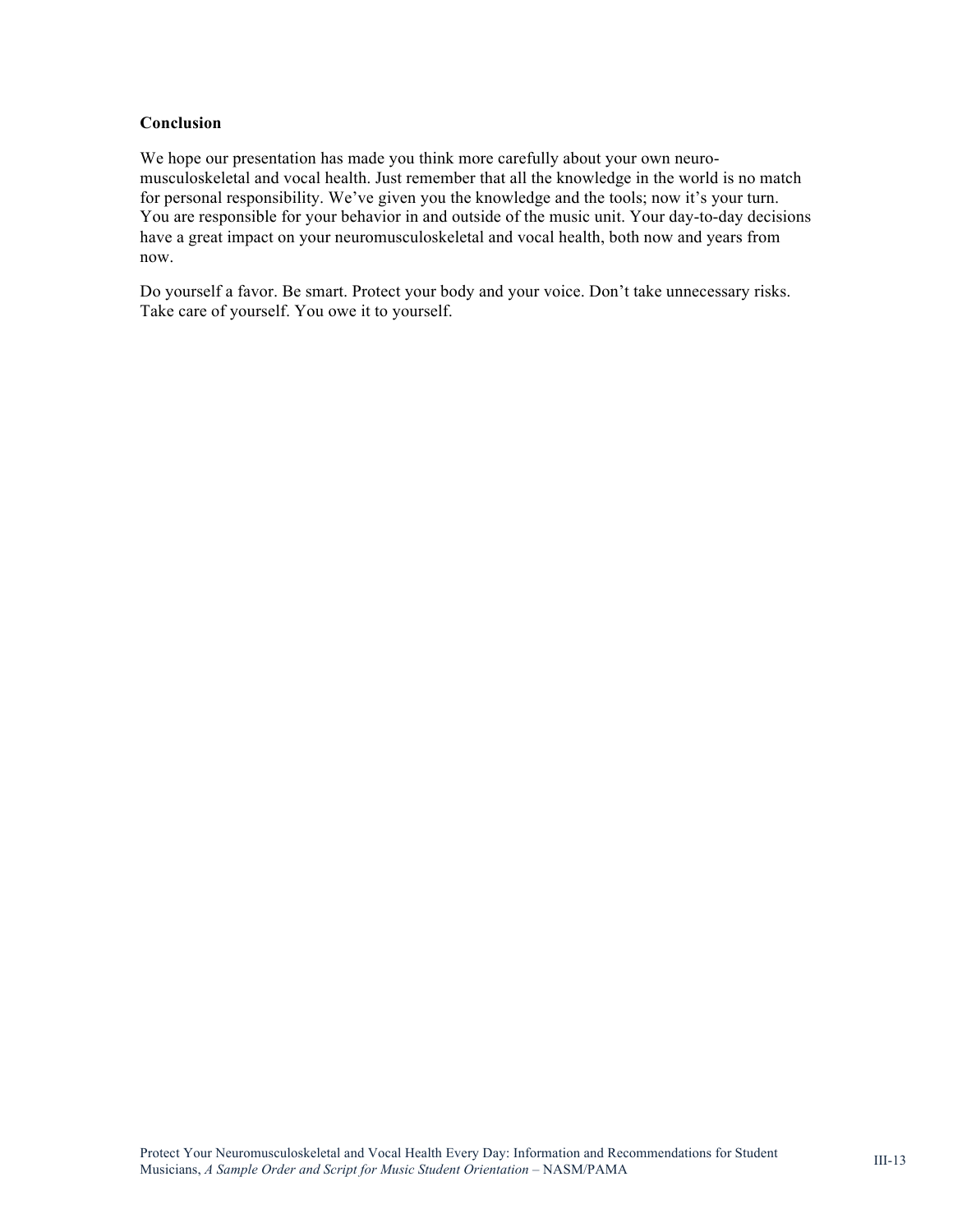#### **Conclusion**

We hope our presentation has made you think more carefully about your own neuromusculoskeletal and vocal health. Just remember that all the knowledge in the world is no match for personal responsibility. We've given you the knowledge and the tools; now it's your turn. You are responsible for your behavior in and outside of the music unit. Your day-to-day decisions have a great impact on your neuromusculoskeletal and vocal health, both now and years from now.

Do yourself a favor. Be smart. Protect your body and your voice. Don't take unnecessary risks. Take care of yourself. You owe it to yourself.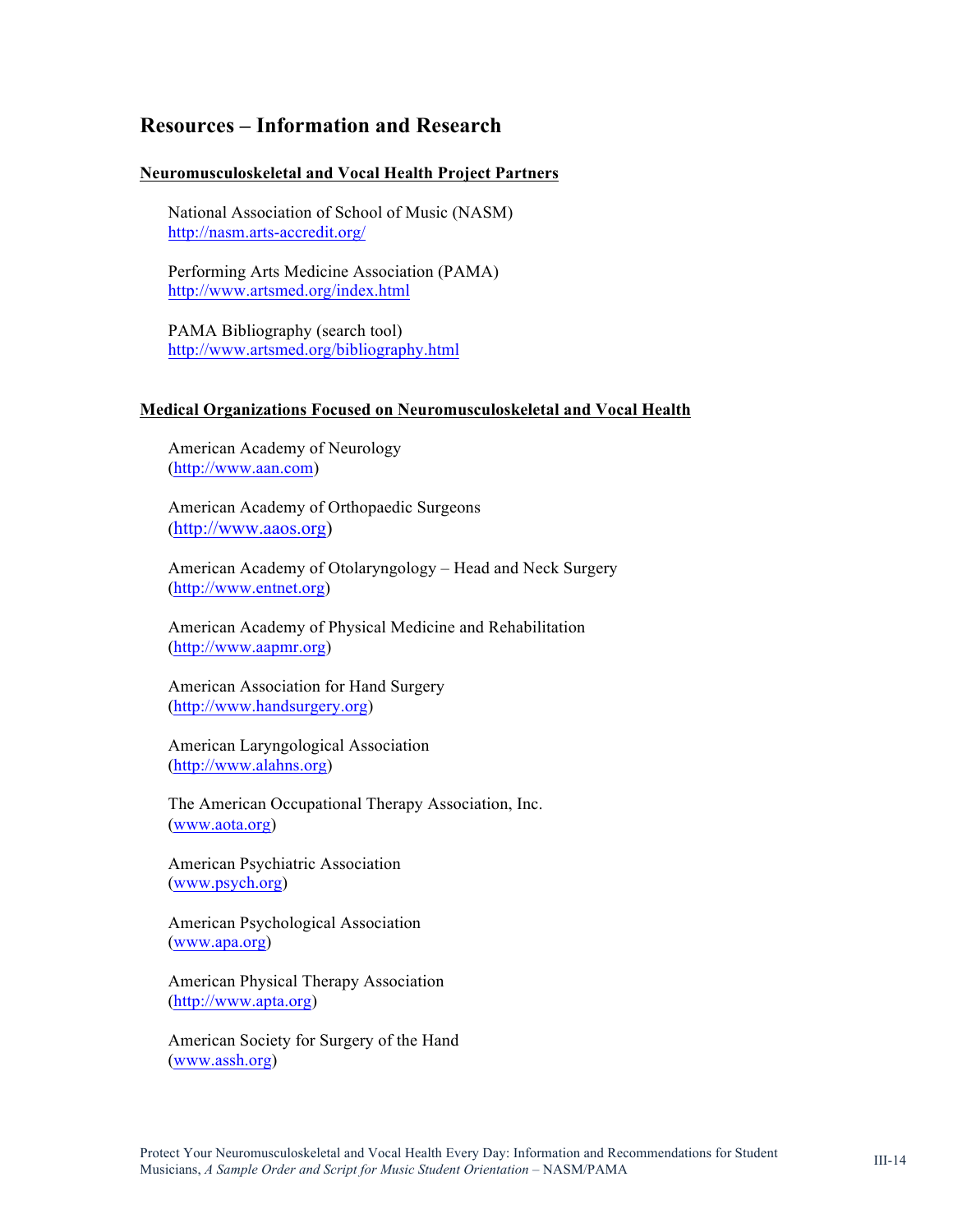### **Resources – Information and Research**

#### **Neuromusculoskeletal and Vocal Health Project Partners**

National Association of School of Music (NASM) <http://nasm.arts-accredit.org/>

Performing Arts Medicine Association (PAMA) <http://www.artsmed.org/index.html>

PAMA Bibliography (search tool) <http://www.artsmed.org/bibliography.html>

#### **Medical Organizations Focused on Neuromusculoskeletal and Vocal Health**

American Academy of Neurology [\(http://www.aan.com\)](http://www.aan.com)

American Academy of Orthopaedic Surgeons [\(http://www.aaos.org\)](http://www.aaos.org)

American Academy of Otolaryngology – Head and Neck Surgery [\(http://www.entnet.org\)](http://www.entnet.org) 

American Academy of Physical Medicine and Rehabilitation [\(http://www.aapmr.org\)](http://www.aapmr.org) 

American Association for Hand Surgery [\(http://www.handsurgery.org\)](http://www.handsurgery.org)

American Laryngological Association [\(http://www.alahns.org\)](http://www.alahns.org) 

The American Occupational Therapy Association, Inc. [\(www.aota.org\)](http://www.aota.org) 

American Psychiatric Association [\(www.psych.org\)](http://www.psych.org)

American Psychological Association [\(www.apa.org\)](http://www.apa.org)

American Physical Therapy Association [\(http://www.apta.org\)](http://www.apta.org)

American Society for Surgery of the Hand [\(www.assh.org\)](http://www.assh.org)